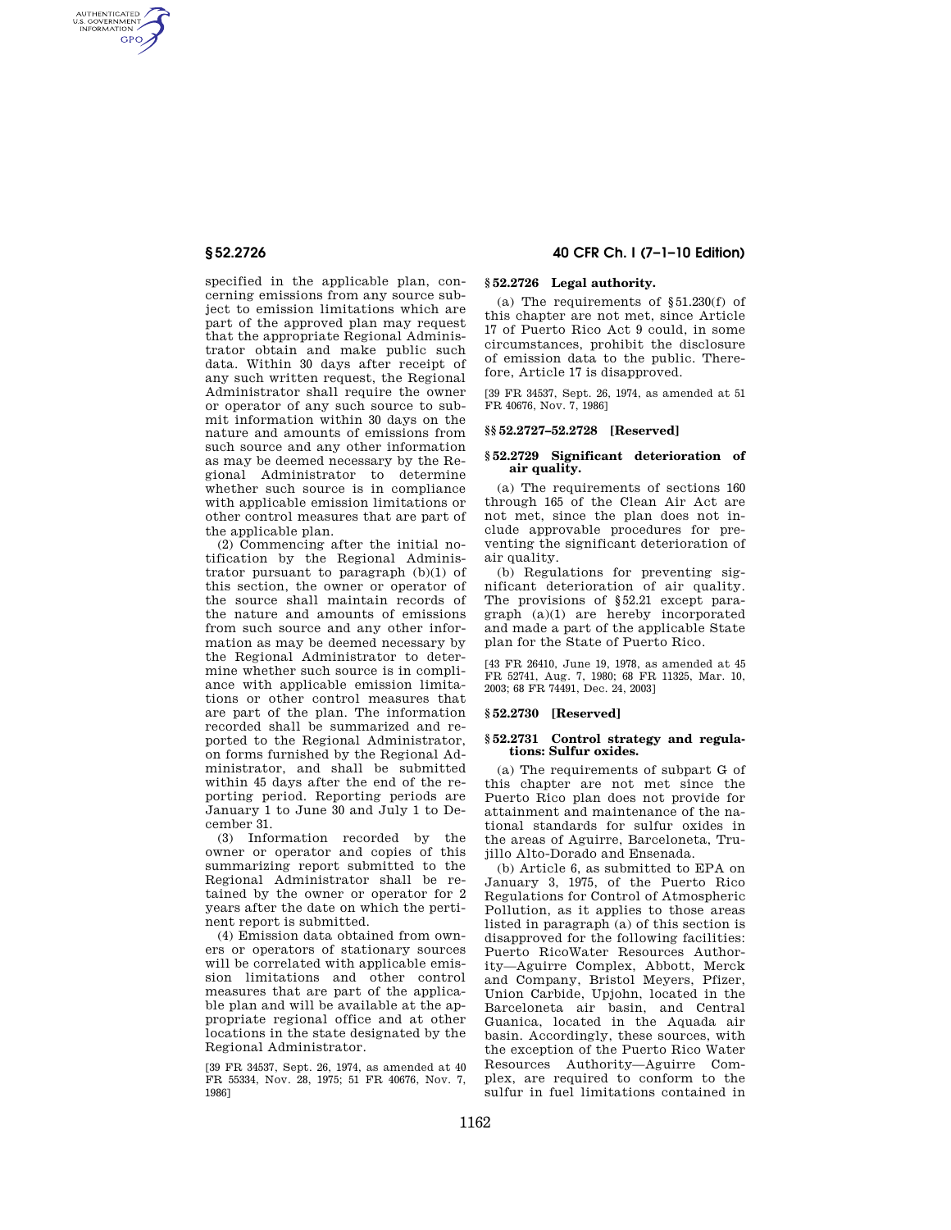AUTHENTICATED<br>U.S. GOVERNMENT<br>INFORMATION **GPO** 

> specified in the applicable plan, concerning emissions from any source subject to emission limitations which are part of the approved plan may request that the appropriate Regional Administrator obtain and make public such data. Within 30 days after receipt of any such written request, the Regional Administrator shall require the owner or operator of any such source to submit information within 30 days on the nature and amounts of emissions from such source and any other information as may be deemed necessary by the Regional Administrator to determine whether such source is in compliance with applicable emission limitations or other control measures that are part of the applicable plan.

> (2) Commencing after the initial notification by the Regional Administrator pursuant to paragraph (b)(1) of this section, the owner or operator of the source shall maintain records of the nature and amounts of emissions from such source and any other information as may be deemed necessary by the Regional Administrator to determine whether such source is in compliance with applicable emission limitations or other control measures that are part of the plan. The information recorded shall be summarized and reported to the Regional Administrator, on forms furnished by the Regional Administrator, and shall be submitted within 45 days after the end of the reporting period. Reporting periods are January 1 to June 30 and July 1 to December 31.

> (3) Information recorded by the owner or operator and copies of this summarizing report submitted to the Regional Administrator shall be retained by the owner or operator for 2 years after the date on which the pertinent report is submitted.

> (4) Emission data obtained from owners or operators of stationary sources will be correlated with applicable emission limitations and other control measures that are part of the applicable plan and will be available at the appropriate regional office and at other locations in the state designated by the Regional Administrator.

> [39 FR 34537, Sept. 26, 1974, as amended at 40 FR 55334, Nov. 28, 1975; 51 FR 40676, Nov. 7, 1986]

# **§ 52.2726 40 CFR Ch. I (7–1–10 Edition)**

## **§ 52.2726 Legal authority.**

(a) The requirements of §51.230(f) of this chapter are not met, since Article 17 of Puerto Rico Act 9 could, in some circumstances, prohibit the disclosure of emission data to the public. Therefore, Article 17 is disapproved.

[39 FR 34537, Sept. 26, 1974, as amended at 51 FR 40676, Nov. 7, 1986]

#### **§§ 52.2727–52.2728 [Reserved]**

#### **§ 52.2729 Significant deterioration of air quality.**

(a) The requirements of sections 160 through 165 of the Clean Air Act are not met, since the plan does not include approvable procedures for preventing the significant deterioration of air quality.

(b) Regulations for preventing significant deterioration of air quality. The provisions of §52.21 except paragraph (a)(1) are hereby incorporated and made a part of the applicable State plan for the State of Puerto Rico.

[43 FR 26410, June 19, 1978, as amended at 45 FR 52741, Aug. 7, 1980; 68 FR 11325, Mar. 10, 2003; 68 FR 74491, Dec. 24, 2003]

# **§ 52.2730 [Reserved]**

## **§ 52.2731 Control strategy and regulations: Sulfur oxides.**

(a) The requirements of subpart G of this chapter are not met since the Puerto Rico plan does not provide for attainment and maintenance of the national standards for sulfur oxides in the areas of Aguirre, Barceloneta, Trujillo Alto-Dorado and Ensenada.

(b) Article 6, as submitted to EPA on January 3, 1975, of the Puerto Rico Regulations for Control of Atmospheric Pollution, as it applies to those areas listed in paragraph (a) of this section is disapproved for the following facilities: Puerto RicoWater Resources Authority—Aguirre Complex, Abbott, Merck and Company, Bristol Meyers, Pfizer, Union Carbide, Upjohn, located in the Barceloneta air basin, and Central Guanica, located in the Aquada air basin. Accordingly, these sources, with the exception of the Puerto Rico Water Resources Authority—Aguirre Complex, are required to conform to the sulfur in fuel limitations contained in